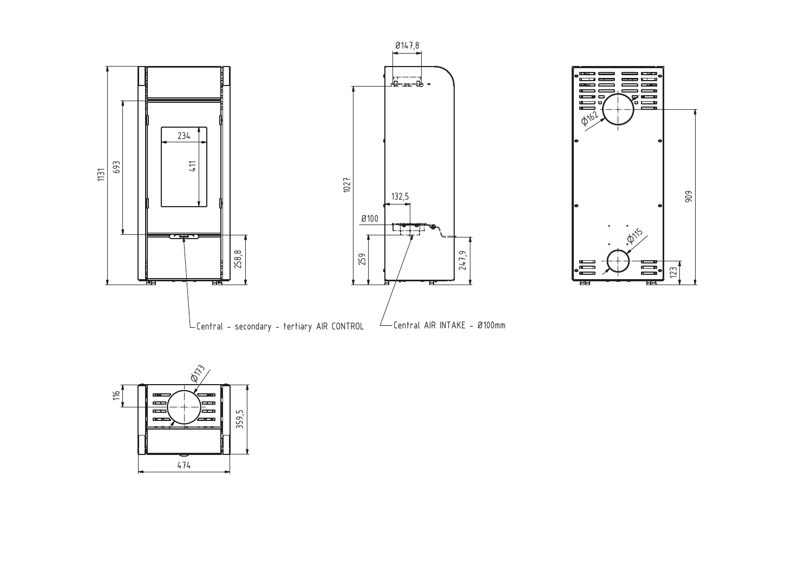



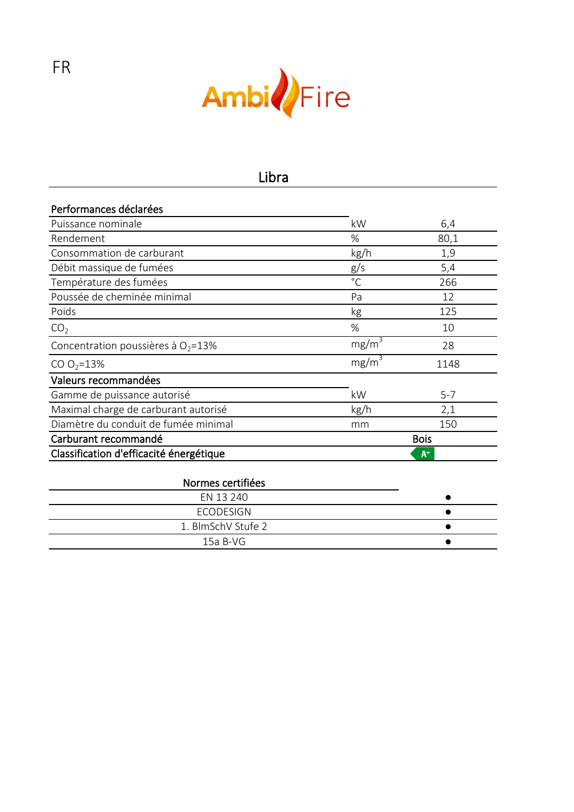

| Performances déclarées                  |              |             |
|-----------------------------------------|--------------|-------------|
| Puissance nominale                      | kW           | 6,4         |
| Rendement                               | %            | 80,1        |
| Consommation de carburant               | kg/h         | 1,9         |
| Débit massique de fumées                | g/s          | 5,4         |
| Température des fumées                  | $^{\circ}$ C | 266         |
| Poussée de cheminée minimal             | Pa           | 12          |
| Poids                                   | kg           | 125         |
| CO <sub>2</sub>                         | %            | 10          |
| Concentration poussières à $O_2 = 13\%$ | $mg/m^3$     | 28          |
| CO $O_2 = 13\%$                         | $mg/m^3$     | 1148        |
| Valeurs recommandées                    |              |             |
| Gamme de puissance autorisé             | kW           | $5 - 7$     |
| Maximal charge de carburant autorisé    | kg/h         | 2,1         |
| Diamètre du conduit de fumée minimal    | mm           | 150         |
| Carburant recommandé                    |              | <b>Bois</b> |
| Classification d'efficacité énergétique |              | $A^+$       |
|                                         |              |             |
| Normes certifiées                       |              |             |
| EN 13 240                               |              |             |
| <b>ECODESIGN</b>                        |              |             |
| 1. BlmSchV Stufe 2                      |              |             |
| 15a B-VG                                |              |             |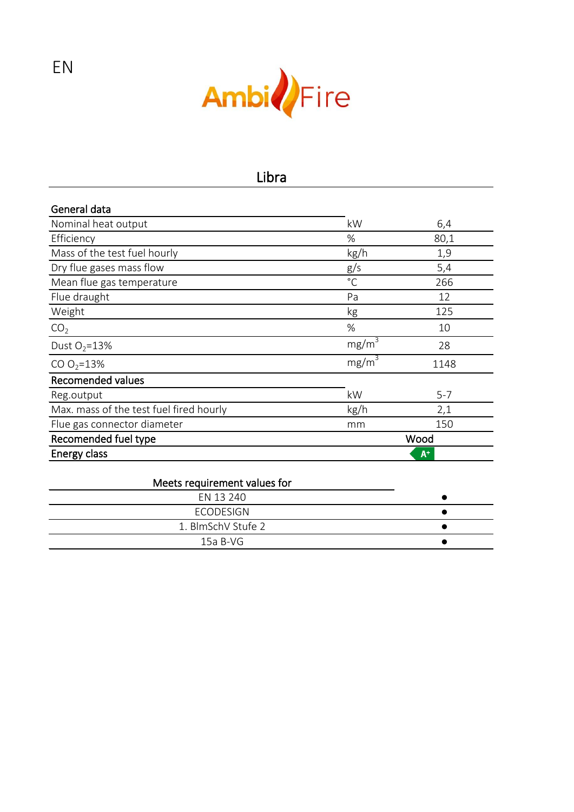

| General data                            |                   |         |  |
|-----------------------------------------|-------------------|---------|--|
| Nominal heat output                     | kW                | 6,4     |  |
| Efficiency                              | %                 | 80,1    |  |
| Mass of the test fuel hourly            | kg/h              | 1,9     |  |
| Dry flue gases mass flow                | g/s               | 5,4     |  |
| Mean flue gas temperature               | $^{\circ}$ C      | 266     |  |
| Flue draught                            | Pa                | 12      |  |
| Weight                                  | kg                | 125     |  |
| CO <sub>2</sub>                         | %                 | 10      |  |
| Dust $O_2 = 13\%$                       | mg/m <sup>3</sup> | 28      |  |
| CO $O_2 = 13\%$                         | $mg/m^3$          | 1148    |  |
| <b>Recomended values</b>                |                   |         |  |
| Reg.output                              | kW                | $5 - 7$ |  |
| Max. mass of the test fuel fired hourly | kg/h              | 2,1     |  |
| Flue gas connector diameter             | mm                | 150     |  |
| Recomended fuel type                    |                   | Wood    |  |
| Energy class                            |                   | $A^+$   |  |

#### $15a B-VG$ EN 13 240 **•** ECODESIGN ● 1. BlmSchV Stufe 2 ● Meets requirement values for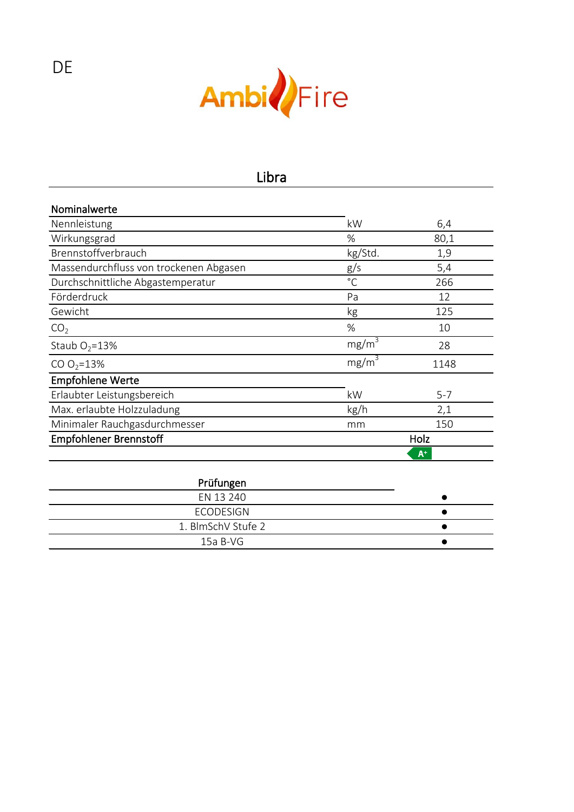

| Nominalwerte                           |                   |         |
|----------------------------------------|-------------------|---------|
| Nennleistung                           | kW                | 6,4     |
| Wirkungsgrad                           | %                 | 80,1    |
| Brennstoffverbrauch                    | kg/Std.           | 1,9     |
| Massendurchfluss von trockenen Abgasen | g/s               | 5,4     |
| Durchschnittliche Abgastemperatur      | $^{\circ}$ C      | 266     |
| Förderdruck                            | Pa                | 12      |
| Gewicht                                | kg                | 125     |
| CO <sub>2</sub>                        | %                 | 10      |
| Staub $O_2 = 13\%$                     | $mg/m^3$          | 28      |
| CO $O_2 = 13\%$                        | mg/m <sup>3</sup> | 1148    |
| <b>Empfohlene Werte</b>                |                   |         |
| Erlaubter Leistungsbereich             | kW                | $5 - 7$ |
| Max. erlaubte Holzzuladung             | kg/h              | 2,1     |
| Minimaler Rauchgasdurchmesser          | mm                | 150     |
| <b>Empfohlener Brennstoff</b>          | Holz              |         |
|                                        |                   | $A^+$   |
| Prüfungen<br><b>EN 13 240</b>          |                   |         |

| EN 13 240          |  |
|--------------------|--|
| ECODESIGN          |  |
| 1. BlmSchV Stufe 2 |  |
| 15a B-VG           |  |